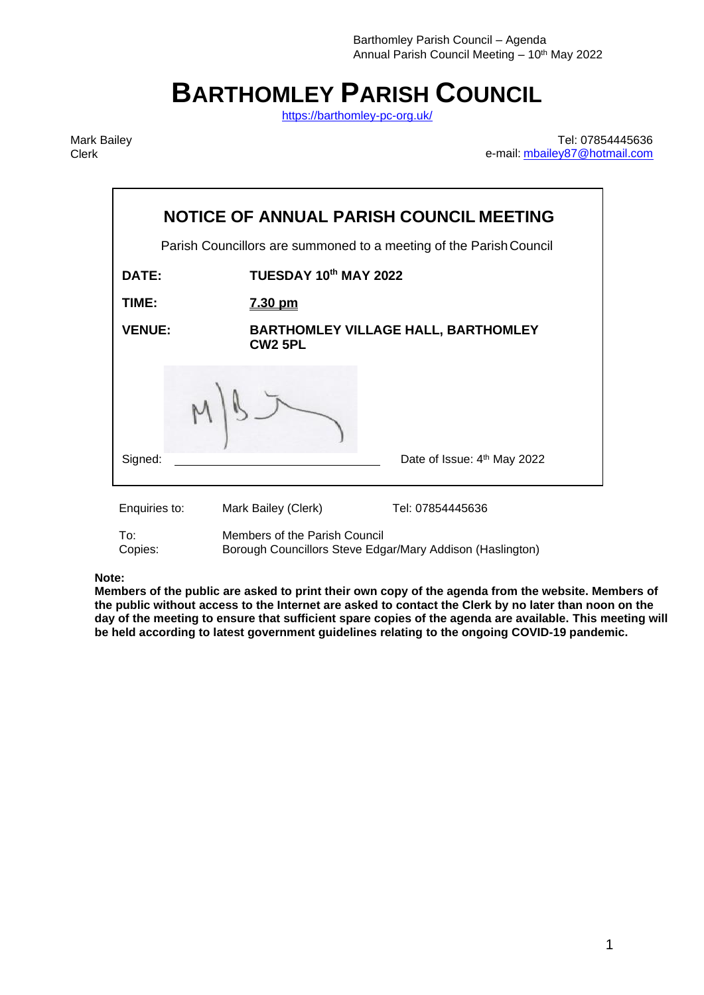# **BARTHOMLEY PARISH COUNCIL**

<https://barthomley-pc-org.uk/>

Mark Bailey Clerk

Tel: 07854445636 e-mail: [mbailey87@hotmail.com](mailto:mbailey87@hotmail.com)

| NOTICE OF ANNUAL PARISH COUNCIL MEETING                            |                                                              |                                                                               |  |
|--------------------------------------------------------------------|--------------------------------------------------------------|-------------------------------------------------------------------------------|--|
| Parish Councillors are summoned to a meeting of the Parish Council |                                                              |                                                                               |  |
| DATE:                                                              | TUESDAY 10th MAY 2022                                        |                                                                               |  |
| TIME:                                                              | <u>7.30 pm</u>                                               |                                                                               |  |
| <b>VENUE:</b>                                                      | <b>BARTHOMLEY VILLAGE HALL, BARTHOMLEY</b><br><b>CW2 5PL</b> |                                                                               |  |
|                                                                    |                                                              |                                                                               |  |
| Signed:                                                            |                                                              | Date of Issue: 4 <sup>th</sup> May 2022                                       |  |
| Enquiries to:<br>T∩∙<br>Copies:                                    | Mark Bailey (Clerk)<br>Members of the Parish Council         | Tel: 07854445636<br>Borough Councillors Steve Edgar/Mary Addison (Haslington) |  |

**Note:** 

**Members of the public are asked to print their own copy of the agenda from the website. Members of the public without access to the Internet are asked to contact the Clerk by no later than noon on the day of the meeting to ensure that sufficient spare copies of the agenda are available. This meeting will be held according to latest government guidelines relating to the ongoing COVID-19 pandemic.**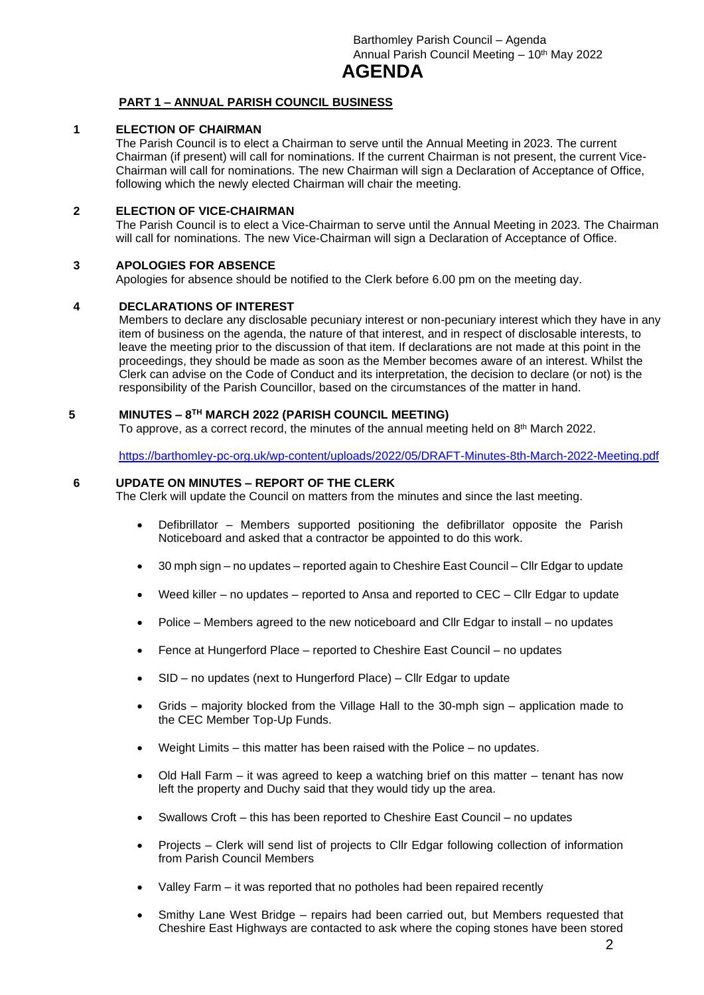## **AGENDA**

#### **PART 1 – ANNUAL PARISH COUNCIL BUSINESS**

#### **1 ELECTION OF CHAIRMAN**

The Parish Council is to elect a Chairman to serve until the Annual Meeting in 2023. The current Chairman (if present) will call for nominations. If the current Chairman is not present, the current Vice-Chairman will call for nominations. The new Chairman will sign a Declaration of Acceptance of Office, following which the newly elected Chairman will chair the meeting.

#### **2 ELECTION OF VICE-CHAIRMAN**

The Parish Council is to elect a Vice-Chairman to serve until the Annual Meeting in 2023. The Chairman will call for nominations. The new Vice-Chairman will sign a Declaration of Acceptance of Office.

#### **3 APOLOGIES FOR ABSENCE**

Apologies for absence should be notified to the Clerk before 6.00 pm on the meeting day.

#### **4 DECLARATIONS OF INTEREST**

Members to declare any disclosable pecuniary interest or non-pecuniary interest which they have in any item of business on the agenda, the nature of that interest, and in respect of disclosable interests, to leave the meeting prior to the discussion of that item. If declarations are not made at this point in the proceedings, they should be made as soon as the Member becomes aware of an interest. Whilst the Clerk can advise on the Code of Conduct and its interpretation, the decision to declare (or not) is the responsibility of the Parish Councillor, based on the circumstances of the matter in hand.

#### **5 MINUTES – 8 TH MARCH 2022 (PARISH COUNCIL MEETING)**

To approve, as a correct record, the minutes of the annual meeting held on  $8^{\text{th}}$  March 2022.

<https://barthomley-pc-org.uk/wp-content/uploads/2022/05/DRAFT-Minutes-8th-March-2022-Meeting.pdf>

#### **6 UPDATE ON MINUTES – REPORT OF THE CLERK**

The Clerk will update the Council on matters from the minutes and since the last meeting.

- Defibrillator Members supported positioning the defibrillator opposite the Parish Noticeboard and asked that a contractor be appointed to do this work.
- 30 mph sign no updates reported again to Cheshire East Council Cllr Edgar to update
- Weed killer no updates reported to Ansa and reported to CEC Cllr Edgar to update
- Police Members agreed to the new noticeboard and Cllr Edgar to install no updates
- Fence at Hungerford Place reported to Cheshire East Council no updates
- SID no updates (next to Hungerford Place) Cllr Edgar to update
- Grids majority blocked from the Village Hall to the 30-mph sign application made to the CEC Member Top-Up Funds.
- Weight Limits this matter has been raised with the Police no updates.
- Old Hall Farm it was agreed to keep a watching brief on this matter tenant has now left the property and Duchy said that they would tidy up the area.
- Swallows Croft this has been reported to Cheshire East Council no updates
- Projects Clerk will send list of projects to Cllr Edgar following collection of information from Parish Council Members
- Valley Farm it was reported that no potholes had been repaired recently
- Smithy Lane West Bridge repairs had been carried out, but Members requested that Cheshire East Highways are contacted to ask where the coping stones have been stored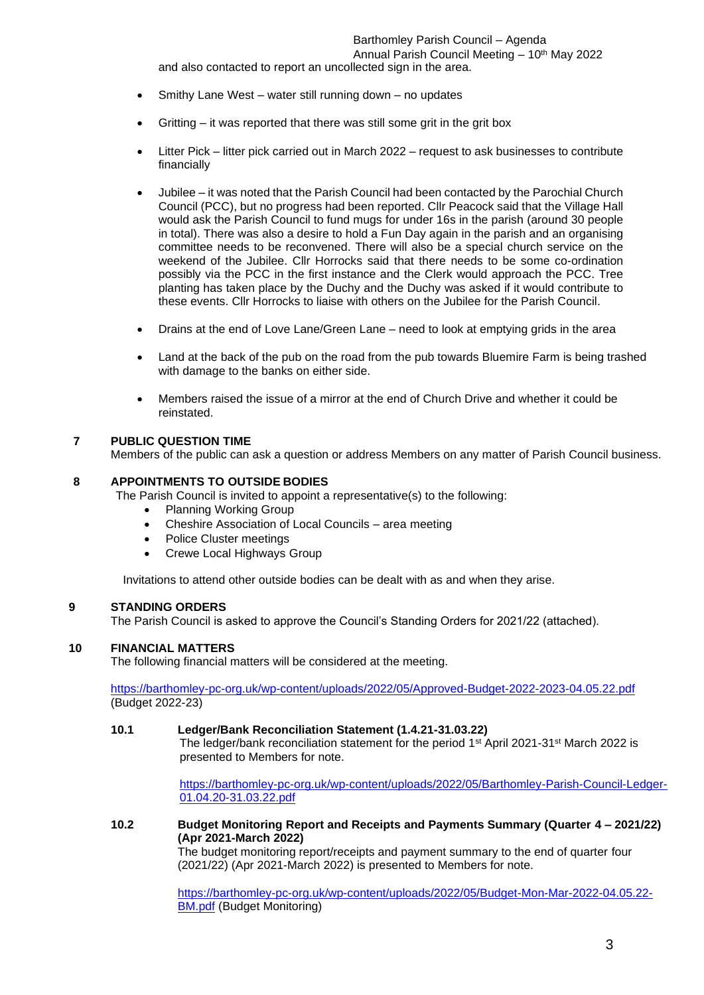and also contacted to report an uncollected sign in the area.

- Smithy Lane West water still running down no updates
- Gritting it was reported that there was still some grit in the grit box
- Litter Pick litter pick carried out in March 2022 request to ask businesses to contribute financially
- Jubilee it was noted that the Parish Council had been contacted by the Parochial Church Council (PCC), but no progress had been reported. Cllr Peacock said that the Village Hall would ask the Parish Council to fund mugs for under 16s in the parish (around 30 people in total). There was also a desire to hold a Fun Day again in the parish and an organising committee needs to be reconvened. There will also be a special church service on the weekend of the Jubilee. Cllr Horrocks said that there needs to be some co-ordination possibly via the PCC in the first instance and the Clerk would approach the PCC. Tree planting has taken place by the Duchy and the Duchy was asked if it would contribute to these events. Cllr Horrocks to liaise with others on the Jubilee for the Parish Council.
- Drains at the end of Love Lane/Green Lane need to look at emptying grids in the area
- Land at the back of the pub on the road from the pub towards Bluemire Farm is being trashed with damage to the banks on either side.
- Members raised the issue of a mirror at the end of Church Drive and whether it could be reinstated.

#### **7 PUBLIC QUESTION TIME**

Members of the public can ask a question or address Members on any matter of Parish Council business.

#### **8 APPOINTMENTS TO OUTSIDE BODIES**

The Parish Council is invited to appoint a representative(s) to the following:

- Planning Working Group
- Cheshire Association of Local Councils area meeting
- Police Cluster meetings
- Crewe Local Highways Group

Invitations to attend other outside bodies can be dealt with as and when they arise.

#### **9 STANDING ORDERS**

The Parish Council is asked to approve the Council's Standing Orders for 2021/22 (attached).

#### **10 FINANCIAL MATTERS**

The following financial matters will be considered at the meeting.

<https://barthomley-pc-org.uk/wp-content/uploads/2022/05/Approved-Budget-2022-2023-04.05.22.pdf> (Budget 2022-23)

#### **10.1 Ledger/Bank Reconciliation Statement (1.4.21-31.03.22)**

The ledger/bank reconciliation statement for the period  $1<sup>st</sup>$  April 2021-31<sup>st</sup> March 2022 is presented to Members for note.

[https://barthomley-pc-org.uk/wp-content/uploads/2022/05/Barthomley-Parish-Council-Ledger-](https://barthomley-pc-org.uk/wp-content/uploads/2022/05/Barthomley-Parish-Council-Ledger-01.04.20-31.03.22.pdf)[01.04.20-31.03.22.pdf](https://barthomley-pc-org.uk/wp-content/uploads/2022/05/Barthomley-Parish-Council-Ledger-01.04.20-31.03.22.pdf)

#### **10.2 Budget Monitoring Report and Receipts and Payments Summary (Quarter 4 – 2021/22) (Apr 2021-March 2022)**

The budget monitoring report/receipts and payment summary to the end of quarter four (2021/22) (Apr 2021-March 2022) is presented to Members for note.

[https://barthomley-pc-org.uk/wp-content/uploads/2022/05/Budget-Mon-Mar-2022-04.05.22-](https://barthomley-pc-org.uk/wp-content/uploads/2022/05/Budget-Mon-Mar-2022-04.05.22-BM.pdf) **[BM.pdf](https://barthomley-pc-org.uk/wp-content/uploads/2022/05/Budget-Mon-Mar-2022-04.05.22-BM.pdf)** (Budget Monitoring)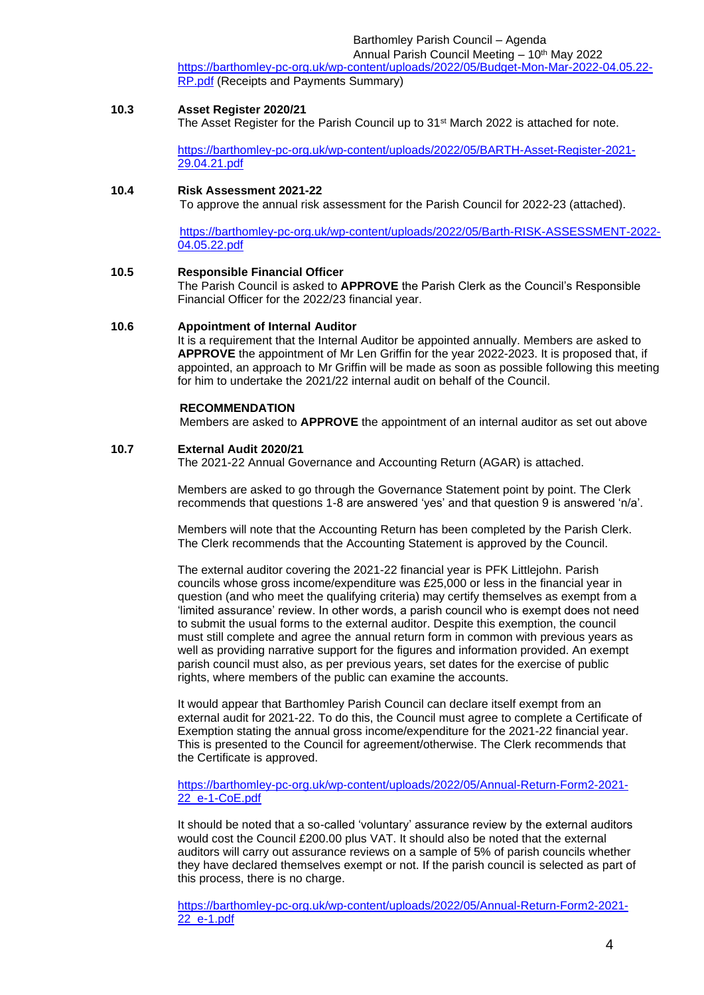Barthomley Parish Council – Agenda

Annual Parish Council Meeting - 10<sup>th</sup> May 2022 [https://barthomley-pc-org.uk/wp-content/uploads/2022/05/Budget-Mon-Mar-2022-04.05.22-](https://barthomley-pc-org.uk/wp-content/uploads/2022/05/Budget-Mon-Mar-2022-04.05.22-RP.pdf) [RP.pdf](https://barthomley-pc-org.uk/wp-content/uploads/2022/05/Budget-Mon-Mar-2022-04.05.22-RP.pdf) (Receipts and Payments Summary)

#### **10.3 Asset Register 2020/21**

The Asset Register for the Parish Council up to  $31<sup>st</sup>$  March 2022 is attached for note.

[https://barthomley-pc-org.uk/wp-content/uploads/2022/05/BARTH-Asset-Register-2021-](https://barthomley-pc-org.uk/wp-content/uploads/2022/05/BARTH-Asset-Register-2021-29.04.21.pdf) [29.04.21.pdf](https://barthomley-pc-org.uk/wp-content/uploads/2022/05/BARTH-Asset-Register-2021-29.04.21.pdf)

### **10.4 Risk Assessment 2021-22**

To approve the annual risk assessment for the Parish Council for 2022-23 (attached).

[https://barthomley-pc-org.uk/wp-content/uploads/2022/05/Barth-RISK-ASSESSMENT-2022-](https://barthomley-pc-org.uk/wp-content/uploads/2022/05/Barth-RISK-ASSESSMENT-2022-04.05.22.pdf) [04.05.22.pdf](https://barthomley-pc-org.uk/wp-content/uploads/2022/05/Barth-RISK-ASSESSMENT-2022-04.05.22.pdf)

#### **10.5 Responsible Financial Officer**

The Parish Council is asked to **APPROVE** the Parish Clerk as the Council's Responsible Financial Officer for the 2022/23 financial year.

#### **10.6 Appointment of Internal Auditor**

It is a requirement that the Internal Auditor be appointed annually. Members are asked to **APPROVE** the appointment of Mr Len Griffin for the year 2022-2023. It is proposed that, if appointed, an approach to Mr Griffin will be made as soon as possible following this meeting for him to undertake the 2021/22 internal audit on behalf of the Council.

#### **RECOMMENDATION**

Members are asked to **APPROVE** the appointment of an internal auditor as set out above

#### **10.7 External Audit 2020/21**

The 2021-22 Annual Governance and Accounting Return (AGAR) is attached.

Members are asked to go through the Governance Statement point by point. The Clerk recommends that questions 1-8 are answered 'yes' and that question 9 is answered 'n/a'.

Members will note that the Accounting Return has been completed by the Parish Clerk. The Clerk recommends that the Accounting Statement is approved by the Council.

The external auditor covering the 2021-22 financial year is PFK Littlejohn. Parish councils whose gross income/expenditure was £25,000 or less in the financial year in question (and who meet the qualifying criteria) may certify themselves as exempt from a 'limited assurance' review. In other words, a parish council who is exempt does not need to submit the usual forms to the external auditor. Despite this exemption, the council must still complete and agree the annual return form in common with previous years as well as providing narrative support for the figures and information provided. An exempt parish council must also, as per previous years, set dates for the exercise of public rights, where members of the public can examine the accounts.

It would appear that Barthomley Parish Council can declare itself exempt from an external audit for 2021-22. To do this, the Council must agree to complete a Certificate of Exemption stating the annual gross income/expenditure for the 2021-22 financial year. This is presented to the Council for agreement/otherwise. The Clerk recommends that the Certificate is approved.

[https://barthomley-pc-org.uk/wp-content/uploads/2022/05/Annual-Return-Form2-2021-](https://barthomley-pc-org.uk/wp-content/uploads/2022/05/Annual-Return-Form2-2021-22_e-1-CoE.pdf) [22\\_e-1-CoE.pdf](https://barthomley-pc-org.uk/wp-content/uploads/2022/05/Annual-Return-Form2-2021-22_e-1-CoE.pdf)

It should be noted that a so-called 'voluntary' assurance review by the external auditors would cost the Council £200.00 plus VAT. It should also be noted that the external auditors will carry out assurance reviews on a sample of 5% of parish councils whether they have declared themselves exempt or not. If the parish council is selected as part of this process, there is no charge.

[https://barthomley-pc-org.uk/wp-content/uploads/2022/05/Annual-Return-Form2-2021-](https://barthomley-pc-org.uk/wp-content/uploads/2022/05/Annual-Return-Form2-2021-22_e-1.pdf) [22\\_e-1.pdf](https://barthomley-pc-org.uk/wp-content/uploads/2022/05/Annual-Return-Form2-2021-22_e-1.pdf)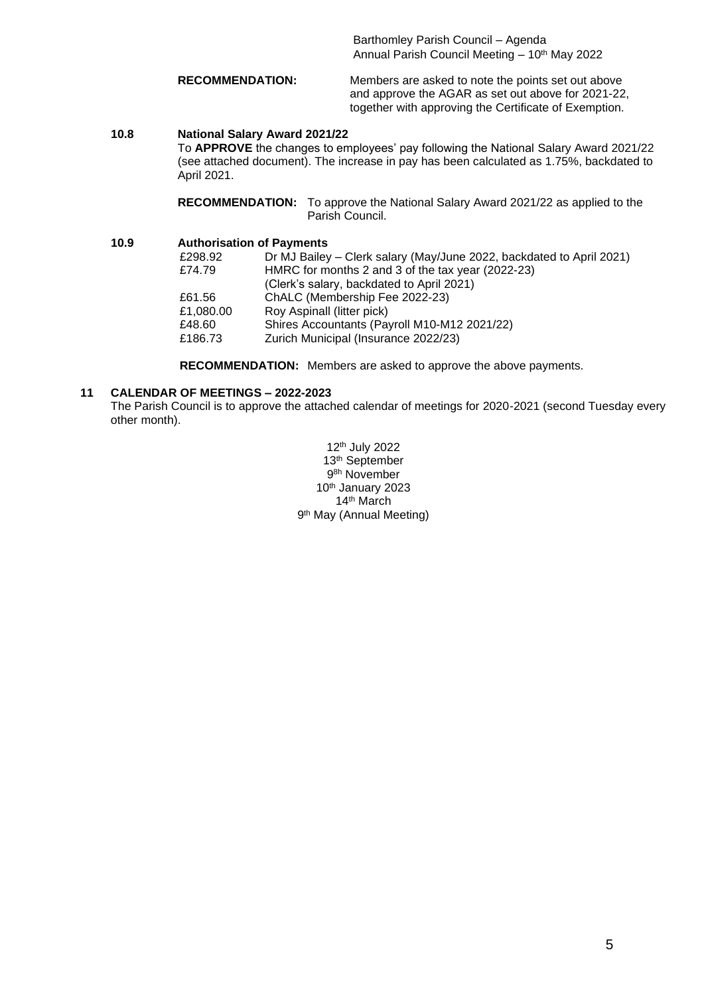Barthomley Parish Council – Agenda Annual Parish Council Meeting - 10<sup>th</sup> May 2022

**RECOMMENDATION:** Members are asked to note the points set out above and approve the AGAR as set out above for 2021-22, together with approving the Certificate of Exemption.

#### **10.8 National Salary Award 2021/22**

To **APPROVE** the changes to employees' pay following the National Salary Award 2021/22 (see attached document). The increase in pay has been calculated as 1.75%, backdated to April 2021.

**RECOMMENDATION:** To approve the National Salary Award 2021/22 as applied to the Parish Council.

### **10.9 Authorisation of Payments**

| Dr MJ Bailey - Clerk salary (May/June 2022, backdated to April 2021) |  |
|----------------------------------------------------------------------|--|
| HMRC for months 2 and 3 of the tax year (2022-23)                    |  |
| (Clerk's salary, backdated to April 2021)                            |  |
| ChALC (Membership Fee 2022-23)                                       |  |
| Roy Aspinall (litter pick)                                           |  |
| Shires Accountants (Payroll M10-M12 2021/22)                         |  |
| Zurich Municipal (Insurance 2022/23)                                 |  |
|                                                                      |  |

**RECOMMENDATION:** Members are asked to approve the above payments.

#### **11 CALENDAR OF MEETINGS – 2022-2023**

The Parish Council is to approve the attached calendar of meetings for 2020-2021 (second Tuesday every other month).

> 12 th July 2022 13 th September 9 8h November 10<sup>th</sup> January 2023 14th March 9<sup>th</sup> May (Annual Meeting)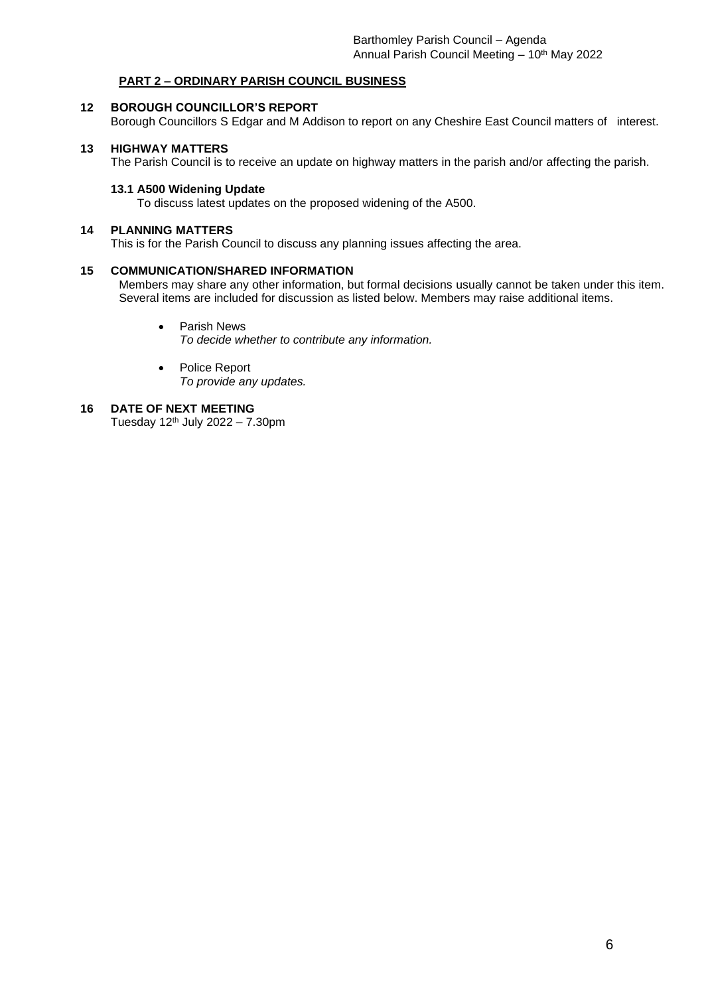#### **PART 2 – ORDINARY PARISH COUNCIL BUSINESS**

#### **12 BOROUGH COUNCILLOR'S REPORT**

Borough Councillors S Edgar and M Addison to report on any Cheshire East Council matters of interest.

#### **13 HIGHWAY MATTERS**

The Parish Council is to receive an update on highway matters in the parish and/or affecting the parish.

#### **13.1 A500 Widening Update**

To discuss latest updates on the proposed widening of the A500.

#### **14 PLANNING MATTERS**

This is for the Parish Council to discuss any planning issues affecting the area.

#### **15 COMMUNICATION/SHARED INFORMATION**

Members may share any other information, but formal decisions usually cannot be taken under this item. Several items are included for discussion as listed below. Members may raise additional items.

- Parish News *To decide whether to contribute any information.*
- Police Report *To provide any updates.*

#### **16 DATE OF NEXT MEETING** Tuesday 12<sup>th</sup> July 2022 – 7.30pm